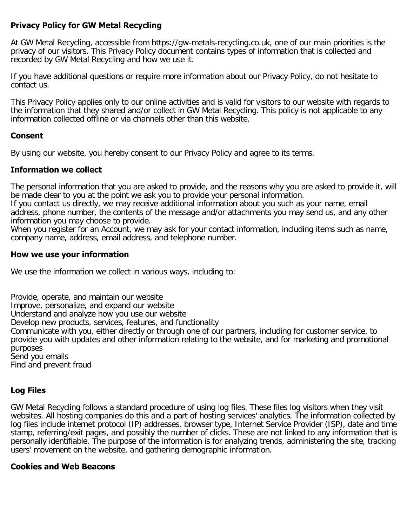### **Privacy Policy for GW Metal Recycling**

At GW Metal Recycling, accessible from https://gw-metals-recycling.co.uk, one of our main priorities is the privacy of our visitors. This Privacy Policy document contains types of information that is collected and recorded by GW Metal Recycling and how we use it.

If you have additional questions or require more information about our Privacy Policy, do not hesitate to contact us.

This Privacy Policy applies only to our online activities and is valid for visitors to our website with regards to the information that they shared and/or collect in GW Metal Recycling. This policy is not applicable to any information collected offline or via channels other than this website.

#### **Consent**

By using our website, you hereby consent to our Privacy Policy and agree to its terms.

### **Information we collect**

The personal information that you are asked to provide, and the reasons why you are asked to provide it, will be made clear to you at the point we ask you to provide your personal information.

If you contact us directly, we may receive additional information about you such as your name, email address, phone number, the contents of the message and/or attachments you may send us, and any other information you may choose to provide.

When you register for an Account, we may ask for your contact information, including items such as name, company name, address, email address, and telephone number.

#### **How we use your information**

We use the information we collect in various ways, including to:

Provide, operate, and maintain our website Improve, personalize, and expand our website Understand and analyze how you use our website Develop new products, services, features, and functionality Communicate with you, either directly or through one of our partners, including for customer service, to provide you with updates and other information relating to the website, and for marketing and promotional purposes Send you emails Find and prevent fraud

## **Log Files**

GW Metal Recycling follows a standard procedure of using log files. These files log visitors when they visit websites. All hosting companies do this and a part of hosting services' analytics. The information collected by log files include internet protocol (IP) addresses, browser type, Internet Service Provider (ISP), date and time stamp, referring/exit pages, and possibly the number of clicks. These are not linked to any information that is personally identifiable. The purpose of the information is for analyzing trends, administering the site, tracking users' movement on the website, and gathering demographic information.

#### **Cookies and Web Beacons**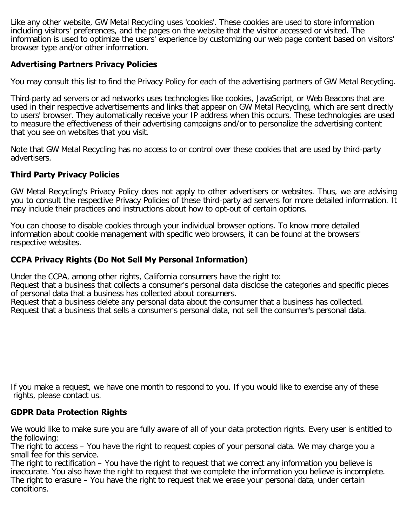Like any other website, GW Metal Recycling uses 'cookies'. These cookies are used to store information including visitors' preferences, and the pages on the website that the visitor accessed or visited. The information is used to optimize the users' experience by customizing our web page content based on visitors' browser type and/or other information.

# **Advertising Partners Privacy Policies**

You may consult this list to find the Privacy Policy for each of the advertising partners of GW Metal Recycling.

Third-party ad servers or ad networks uses technologies like cookies, JavaScript, or Web Beacons that are used in their respective advertisements and links that appear on GW Metal Recycling, which are sent directly to users' browser. They automatically receive your IP address when this occurs. These technologies are used to measure the effectiveness of their advertising campaigns and/or to personalize the advertising content that you see on websites that you visit.

Note that GW Metal Recycling has no access to or control over these cookies that are used by third-party advertisers.

# **Third Party Privacy Policies**

GW Metal Recycling's Privacy Policy does not apply to other advertisers or websites. Thus, we are advising you to consult the respective Privacy Policies of these third-party ad servers for more detailed information. It may include their practices and instructions about how to opt-out of certain options.

You can choose to disable cookies through your individual browser options. To know more detailed information about cookie management with specific web browsers, it can be found at the browsers' respective websites.

# **CCPA Privacy Rights (Do Not Sell My Personal Information)**

Under the CCPA, among other rights, California consumers have the right to:

Request that a business that collects a consumer's personal data disclose the categories and specific pieces of personal data that a business has collected about consumers.

Request that a business delete any personal data about the consumer that a business has collected.

Request that a business that sells a consumer's personal data, not sell the consumer's personal data.

If you make a request, we have one month to respond to you. If you would like to exercise any of these rights, please contact us.

## **GDPR Data Protection Rights**

We would like to make sure you are fully aware of all of your data protection rights. Every user is entitled to the following:

The right to access – You have the right to request copies of your personal data. We may charge you a small fee for this service.

The right to rectification – You have the right to request that we correct any information you believe is inaccurate. You also have the right to request that we complete the information you believe is incomplete. The right to erasure – You have the right to request that we erase your personal data, under certain conditions.